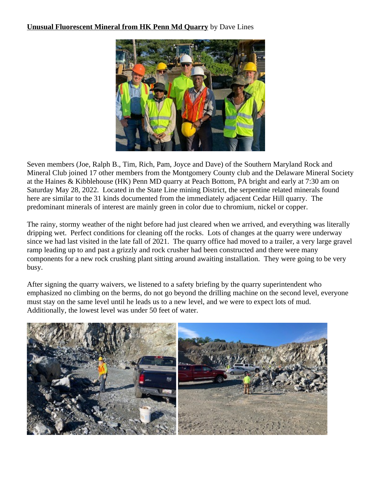## **Unusual Fluorescent Mineral from HK Penn Md Quarry** by Dave Lines



Seven members (Joe, Ralph B., Tim, Rich, Pam, Joyce and Dave) of the Southern Maryland Rock and Mineral Club joined 17 other members from the Montgomery County club and the Delaware Mineral Society at the Haines & Kibblehouse (HK) Penn MD quarry at Peach Bottom, PA bright and early at 7:30 am on Saturday May 28, 2022. Located in the State Line mining District, the serpentine related minerals found here are similar to the 31 kinds documented from the immediately adjacent Cedar Hill quarry. The predominant minerals of interest are mainly green in color due to chromium, nickel or copper.

The rainy, stormy weather of the night before had just cleared when we arrived, and everything was literally dripping wet. Perfect conditions for cleaning off the rocks. Lots of changes at the quarry were underway since we had last visited in the late fall of 2021. The quarry office had moved to a trailer, a very large gravel ramp leading up to and past a grizzly and rock crusher had been constructed and there were many components for a new rock crushing plant sitting around awaiting installation. They were going to be very busy.

After signing the quarry waivers, we listened to a safety briefing by the quarry superintendent who emphasized no climbing on the berms, do not go beyond the drilling machine on the second level, everyone must stay on the same level until he leads us to a new level, and we were to expect lots of mud. Additionally, the lowest level was under 50 feet of water.

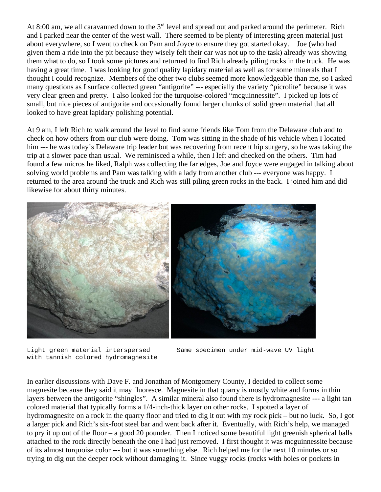At 8:00 am, we all caravanned down to the  $3<sup>rd</sup>$  level and spread out and parked around the perimeter. Rich and I parked near the center of the west wall. There seemed to be plenty of interesting green material just about everywhere, so I went to check on Pam and Joyce to ensure they got started okay. Joe (who had given them a ride into the pit because they wisely felt their car was not up to the task) already was showing them what to do, so I took some pictures and returned to find Rich already piling rocks in the truck. He was having a great time. I was looking for good quality lapidary material as well as for some minerals that I thought I could recognize. Members of the other two clubs seemed more knowledgeable than me, so I asked many questions as I surface collected green "antigorite" --- especially the variety "picrolite" because it was very clear green and pretty. I also looked for the turquoise-colored "mcguinnessite". I picked up lots of small, but nice pieces of antigorite and occasionally found larger chunks of solid green material that all looked to have great lapidary polishing potential.

At 9 am, I left Rich to walk around the level to find some friends like Tom from the Delaware club and to check on how others from our club were doing. Tom was sitting in the shade of his vehicle when I located him --- he was today's Delaware trip leader but was recovering from recent hip surgery, so he was taking the trip at a slower pace than usual. We reminisced a while, then I left and checked on the others. Tim had found a few micros he liked, Ralph was collecting the far edges, Joe and Joyce were engaged in talking about solving world problems and Pam was talking with a lady from another club --- everyone was happy. I returned to the area around the truck and Rich was still piling green rocks in the back. I joined him and did likewise for about thirty minutes.



with tannish colored hydromagnesite



In earlier discussions with Dave F. and Jonathan of Montgomery County, I decided to collect some magnesite because they said it may fluoresce. Magnesite in that quarry is mostly white and forms in thin layers between the antigorite "shingles". A similar mineral also found there is hydromagnesite --- a light tan colored material that typically forms a 1/4-inch-thick layer on other rocks. I spotted a layer of hydromagnesite on a rock in the quarry floor and tried to dig it out with my rock pick – but no luck. So, I got a larger pick and Rich's six-foot steel bar and went back after it. Eventually, with Rich's help, we managed to pry it up out of the floor – a good 20 pounder. Then I noticed some beautiful light greenish spherical balls attached to the rock directly beneath the one I had just removed. I first thought it was mcguinnessite because of its almost turquoise color --- but it was something else. Rich helped me for the next 10 minutes or so trying to dig out the deeper rock without damaging it. Since vuggy rocks (rocks with holes or pockets in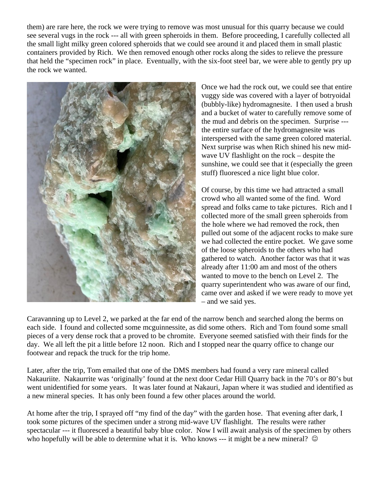them) are rare here, the rock we were trying to remove was most unusual for this quarry because we could see several vugs in the rock --- all with green spheroids in them. Before proceeding, I carefully collected all the small light milky green colored spheroids that we could see around it and placed them in small plastic containers provided by Rich. We then removed enough other rocks along the sides to relieve the pressure that held the "specimen rock" in place. Eventually, with the six-foot steel bar, we were able to gently pry up the rock we wanted.



Once we had the rock out, we could see that entire vuggy side was covered with a layer of botryoidal (bubbly-like) hydromagnesite. I then used a brush and a bucket of water to carefully remove some of the mud and debris on the specimen. Surprise -- the entire surface of the hydromagnesite was interspersed with the same green colored material. Next surprise was when Rich shined his new midwave UV flashlight on the rock – despite the sunshine, we could see that it (especially the green stuff) fluoresced a nice light blue color.

Of course, by this time we had attracted a small crowd who all wanted some of the find. Word spread and folks came to take pictures. Rich and I collected more of the small green spheroids from the hole where we had removed the rock, then pulled out some of the adjacent rocks to make sure we had collected the entire pocket. We gave some of the loose spheroids to the others who had gathered to watch. Another factor was that it was already after 11:00 am and most of the others wanted to move to the bench on Level 2. The quarry superintendent who was aware of our find, came over and asked if we were ready to move yet – and we said yes.

Caravanning up to Level 2, we parked at the far end of the narrow bench and searched along the berms on each side. I found and collected some mcguinnessite, as did some others. Rich and Tom found some small pieces of a very dense rock that a proved to be chromite. Everyone seemed satisfied with their finds for the day. We all left the pit a little before 12 noon. Rich and I stopped near the quarry office to change our footwear and repack the truck for the trip home.

Later, after the trip, Tom emailed that one of the DMS members had found a very rare mineral called Nakauriite. Nakaurrite was 'originally' found at the next door Cedar Hill Quarry back in the 70's or 80's but went unidentified for some years. It was later found at Nakauri, Japan where it was studied and identified as a new mineral species. It has only been found a few other places around the world.

At home after the trip, I sprayed off "my find of the day" with the garden hose. That evening after dark, I took some pictures of the specimen under a strong mid-wave UV flashlight. The results were rather spectacular --- it fluoresced a beautiful baby blue color. Now I will await analysis of the specimen by others who hopefully will be able to determine what it is. Who knows --- it might be a new mineral?  $\odot$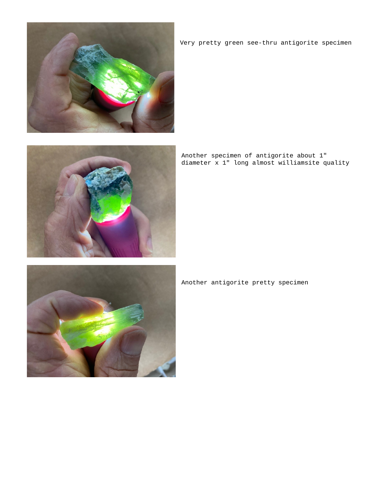

Very pretty green see-thru antigorite specimen



Another specimen of antigorite about 1" diameter x 1" long almost williamsite quality



Another antigorite pretty specimen